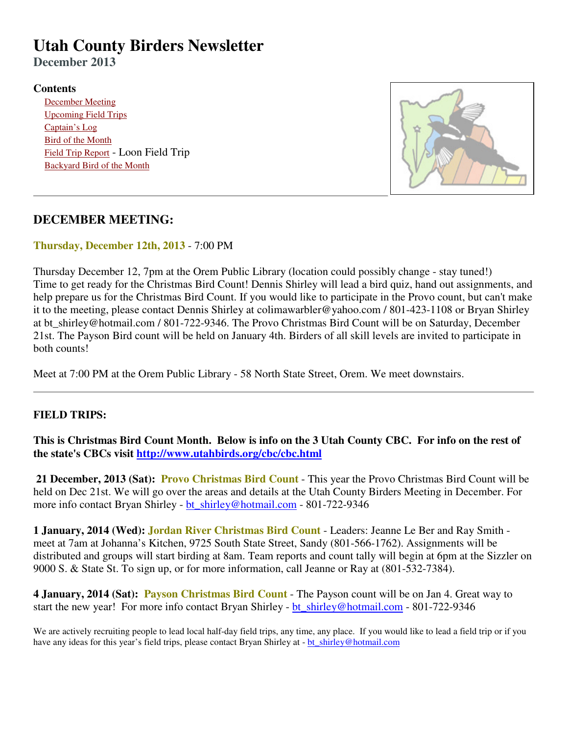# **Utah County Birders Newsletter**

**December 2013**

#### **Contents**

 December Meeting Upcoming Field Trips Captain's Log Bird of the Month Field Trip Report - Loon Field Trip Backyard Bird of the Month



## **DECEMBER MEETING:**

**Thursday, December 12th, 2013** - 7:00 PM

Thursday December 12, 7pm at the Orem Public Library (location could possibly change - stay tuned!) Time to get ready for the Christmas Bird Count! Dennis Shirley will lead a bird quiz, hand out assignments, and help prepare us for the Christmas Bird Count. If you would like to participate in the Provo count, but can't make it to the meeting, please contact Dennis Shirley at colimawarbler@yahoo.com / 801-423-1108 or Bryan Shirley at bt shirley@hotmail.com / 801-722-9346. The Provo Christmas Bird Count will be on Saturday, December 21st. The Payson Bird count will be held on January 4th. Birders of all skill levels are invited to participate in both counts!

Meet at 7:00 PM at the Orem Public Library - 58 North State Street, Orem. We meet downstairs.

## **FIELD TRIPS:**

**This is Christmas Bird Count Month. Below is info on the 3 Utah County CBC. For info on the rest of the state's CBCs visit http://www.utahbirds.org/cbc/cbc.html**

 **21 December, 2013 (Sat): Provo Christmas Bird Count** - This year the Provo Christmas Bird Count will be held on Dec 21st. We will go over the areas and details at the Utah County Birders Meeting in December. For more info contact Bryan Shirley - bt\_shirley@hotmail.com - 801-722-9346

**1 January, 2014 (Wed): Jordan River Christmas Bird Count** - Leaders: Jeanne Le Ber and Ray Smith meet at 7am at Johanna's Kitchen, 9725 South State Street, Sandy (801-566-1762). Assignments will be distributed and groups will start birding at 8am. Team reports and count tally will begin at 6pm at the Sizzler on 9000 S. & State St. To sign up, or for more information, call Jeanne or Ray at (801-532-7384).

**4 January, 2014 (Sat): Payson Christmas Bird Count** - The Payson count will be on Jan 4. Great way to start the new year! For more info contact Bryan Shirley - bt\_shirley@hotmail.com - 801-722-9346

We are actively recruiting people to lead local half-day field trips, any time, any place. If you would like to lead a field trip or if you have any ideas for this year's field trips, please contact Bryan Shirley at - bt\_shirley@hotmail.com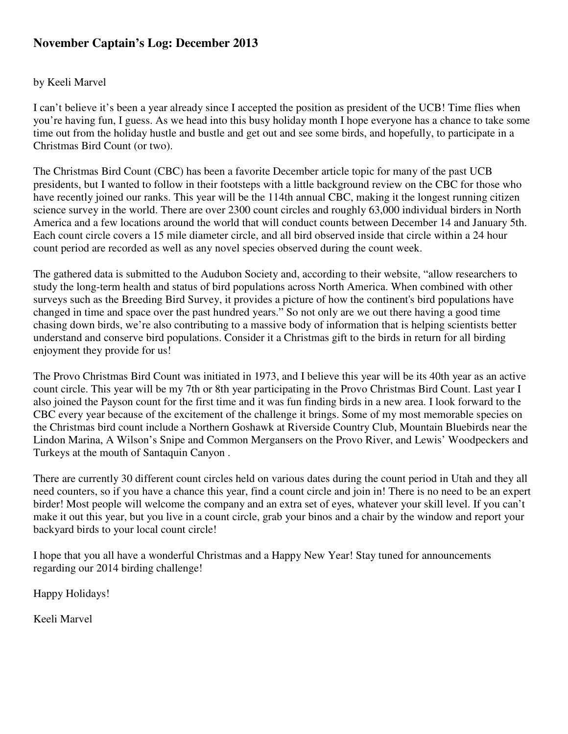# **November Captain's Log: December 2013**

#### by Keeli Marvel

I can't believe it's been a year already since I accepted the position as president of the UCB! Time flies when you're having fun, I guess. As we head into this busy holiday month I hope everyone has a chance to take some time out from the holiday hustle and bustle and get out and see some birds, and hopefully, to participate in a Christmas Bird Count (or two).

The Christmas Bird Count (CBC) has been a favorite December article topic for many of the past UCB presidents, but I wanted to follow in their footsteps with a little background review on the CBC for those who have recently joined our ranks. This year will be the 114th annual CBC, making it the longest running citizen science survey in the world. There are over 2300 count circles and roughly 63,000 individual birders in North America and a few locations around the world that will conduct counts between December 14 and January 5th. Each count circle covers a 15 mile diameter circle, and all bird observed inside that circle within a 24 hour count period are recorded as well as any novel species observed during the count week.

The gathered data is submitted to the Audubon Society and, according to their website, "allow researchers to study the long-term health and status of bird populations across North America. When combined with other surveys such as the Breeding Bird Survey, it provides a picture of how the continent's bird populations have changed in time and space over the past hundred years." So not only are we out there having a good time chasing down birds, we're also contributing to a massive body of information that is helping scientists better understand and conserve bird populations. Consider it a Christmas gift to the birds in return for all birding enjoyment they provide for us!

The Provo Christmas Bird Count was initiated in 1973, and I believe this year will be its 40th year as an active count circle. This year will be my 7th or 8th year participating in the Provo Christmas Bird Count. Last year I also joined the Payson count for the first time and it was fun finding birds in a new area. I look forward to the CBC every year because of the excitement of the challenge it brings. Some of my most memorable species on the Christmas bird count include a Northern Goshawk at Riverside Country Club, Mountain Bluebirds near the Lindon Marina, A Wilson's Snipe and Common Mergansers on the Provo River, and Lewis' Woodpeckers and Turkeys at the mouth of Santaquin Canyon .

There are currently 30 different count circles held on various dates during the count period in Utah and they all need counters, so if you have a chance this year, find a count circle and join in! There is no need to be an expert birder! Most people will welcome the company and an extra set of eyes, whatever your skill level. If you can't make it out this year, but you live in a count circle, grab your binos and a chair by the window and report your backyard birds to your local count circle!

I hope that you all have a wonderful Christmas and a Happy New Year! Stay tuned for announcements regarding our 2014 birding challenge!

Happy Holidays!

Keeli Marvel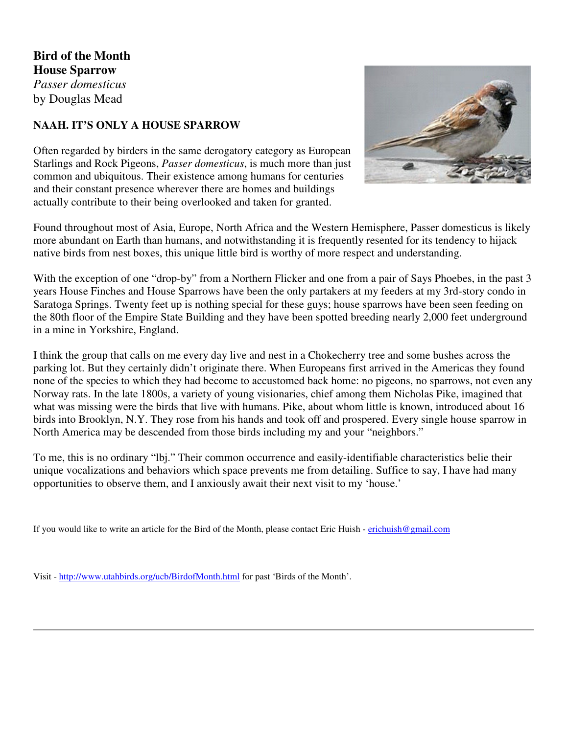**Bird of the Month House Sparrow** *Passer domesticus* by Douglas Mead

### **NAAH. IT'S ONLY A HOUSE SPARROW**

Often regarded by birders in the same derogatory category as European Starlings and Rock Pigeons, *Passer domesticus*, is much more than just common and ubiquitous. Their existence among humans for centuries and their constant presence wherever there are homes and buildings actually contribute to their being overlooked and taken for granted.



Found throughout most of Asia, Europe, North Africa and the Western Hemisphere, Passer domesticus is likely more abundant on Earth than humans, and notwithstanding it is frequently resented for its tendency to hijack native birds from nest boxes, this unique little bird is worthy of more respect and understanding.

With the exception of one "drop-by" from a Northern Flicker and one from a pair of Says Phoebes, in the past 3 years House Finches and House Sparrows have been the only partakers at my feeders at my 3rd-story condo in Saratoga Springs. Twenty feet up is nothing special for these guys; house sparrows have been seen feeding on the 80th floor of the Empire State Building and they have been spotted breeding nearly 2,000 feet underground in a mine in Yorkshire, England.

I think the group that calls on me every day live and nest in a Chokecherry tree and some bushes across the parking lot. But they certainly didn't originate there. When Europeans first arrived in the Americas they found none of the species to which they had become to accustomed back home: no pigeons, no sparrows, not even any Norway rats. In the late 1800s, a variety of young visionaries, chief among them Nicholas Pike, imagined that what was missing were the birds that live with humans. Pike, about whom little is known, introduced about 16 birds into Brooklyn, N.Y. They rose from his hands and took off and prospered. Every single house sparrow in North America may be descended from those birds including my and your "neighbors."

To me, this is no ordinary "lbj." Their common occurrence and easily-identifiable characteristics belie their unique vocalizations and behaviors which space prevents me from detailing. Suffice to say, I have had many opportunities to observe them, and I anxiously await their next visit to my 'house.'

If you would like to write an article for the Bird of the Month, please contact Eric Huish - erichuish@gmail.com

Visit - http://www.utahbirds.org/ucb/BirdofMonth.html for past 'Birds of the Month'.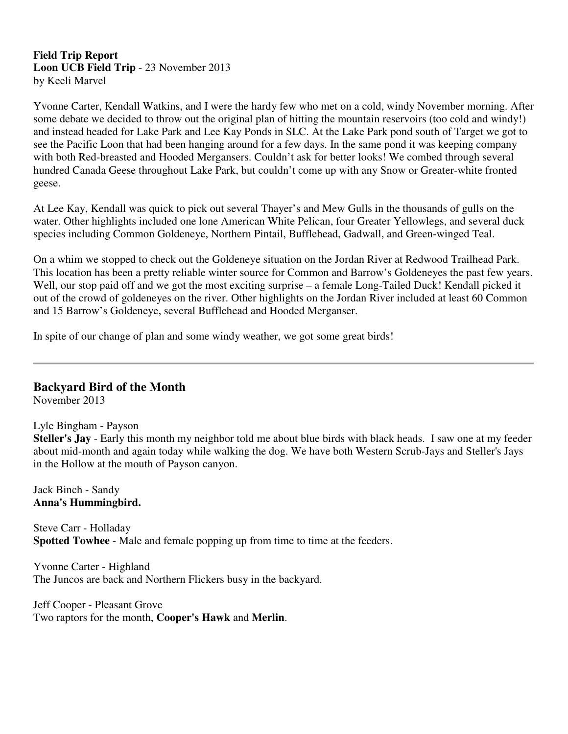#### **Field Trip Report Loon UCB Field Trip** - 23 November 2013 by Keeli Marvel

Yvonne Carter, Kendall Watkins, and I were the hardy few who met on a cold, windy November morning. After some debate we decided to throw out the original plan of hitting the mountain reservoirs (too cold and windy!) and instead headed for Lake Park and Lee Kay Ponds in SLC. At the Lake Park pond south of Target we got to see the Pacific Loon that had been hanging around for a few days. In the same pond it was keeping company with both Red-breasted and Hooded Mergansers. Couldn't ask for better looks! We combed through several hundred Canada Geese throughout Lake Park, but couldn't come up with any Snow or Greater-white fronted geese.

At Lee Kay, Kendall was quick to pick out several Thayer's and Mew Gulls in the thousands of gulls on the water. Other highlights included one lone American White Pelican, four Greater Yellowlegs, and several duck species including Common Goldeneye, Northern Pintail, Bufflehead, Gadwall, and Green-winged Teal.

On a whim we stopped to check out the Goldeneye situation on the Jordan River at Redwood Trailhead Park. This location has been a pretty reliable winter source for Common and Barrow's Goldeneyes the past few years. Well, our stop paid off and we got the most exciting surprise – a female Long-Tailed Duck! Kendall picked it out of the crowd of goldeneyes on the river. Other highlights on the Jordan River included at least 60 Common and 15 Barrow's Goldeneye, several Bufflehead and Hooded Merganser.

In spite of our change of plan and some windy weather, we got some great birds!

## **Backyard Bird of the Month**

November 2013

#### Lyle Bingham - Payson

**Steller's Jay** - Early this month my neighbor told me about blue birds with black heads. I saw one at my feeder about mid-month and again today while walking the dog. We have both Western Scrub-Jays and Steller's Jays in the Hollow at the mouth of Payson canyon.

Jack Binch - Sandy **Anna's Hummingbird.**

Steve Carr - Holladay **Spotted Towhee** - Male and female popping up from time to time at the feeders.

Yvonne Carter - Highland The Juncos are back and Northern Flickers busy in the backyard.

Jeff Cooper - Pleasant Grove Two raptors for the month, **Cooper's Hawk** and **Merlin**.